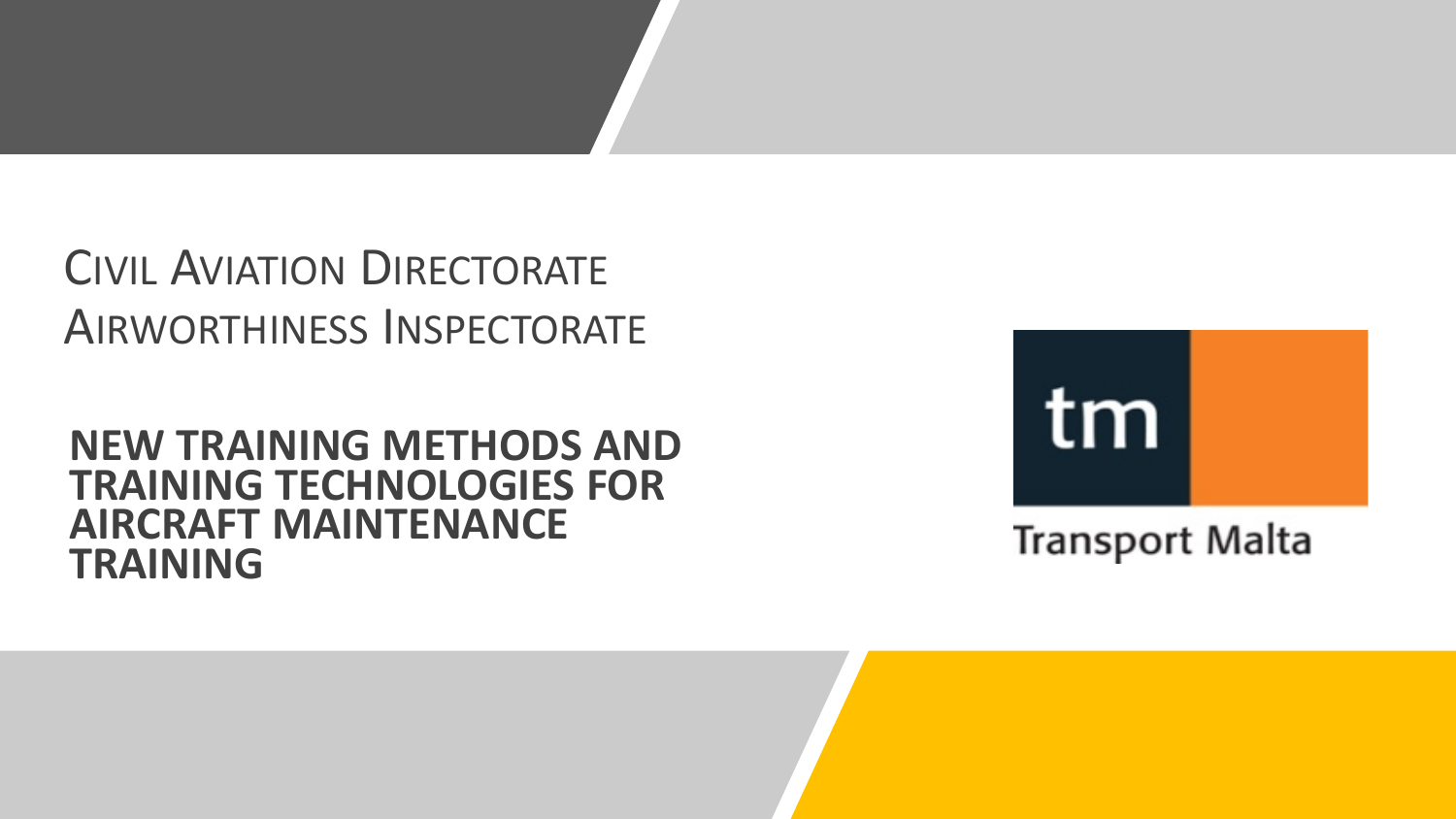## CIVIL AVIATION DIRECTORATE AIRWORTHINESS INSPECTORATE

### **NEW TRAINING METHODS AND TRAINING TECHNOLOGIES FOR AIRCRAFT MAINTENANCE TRAINING**

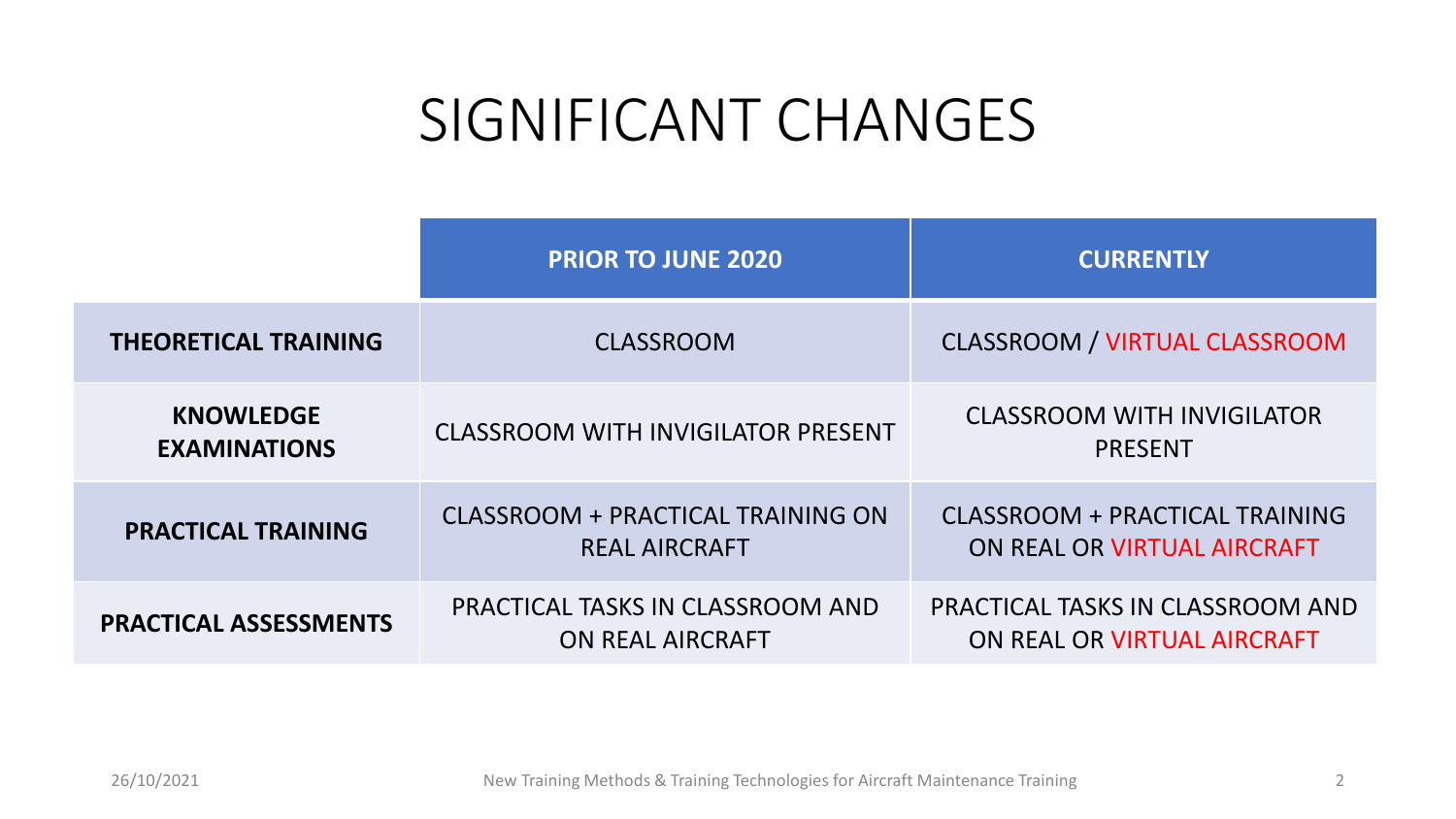# SIGNIFICANT CHANGES

|                                         | <b>PRIOR TO JUNE 2020</b>                                 | <b>CURRENTLY</b>                                                |  |  |  |
|-----------------------------------------|-----------------------------------------------------------|-----------------------------------------------------------------|--|--|--|
| <b>THEORETICAL TRAINING</b>             | <b>CLASSROOM</b>                                          | <b>CLASSROOM / VIRTUAL CLASSROOM</b>                            |  |  |  |
| <b>KNOWLEDGE</b><br><b>EXAMINATIONS</b> | <b>CLASSROOM WITH INVIGILATOR PRESENT</b>                 | <b>CLASSROOM WITH INVIGILATOR</b><br><b>PRESENT</b>             |  |  |  |
| <b>PRACTICAL TRAINING</b>               | CLASSROOM + PRACTICAL TRAINING ON<br><b>REAL AIRCRAFT</b> | CLASSROOM + PRACTICAL TRAINING<br>ON REAL OR VIRTUAL AIRCRAFT   |  |  |  |
| <b>PRACTICAL ASSESSMENTS</b>            | PRACTICAL TASKS IN CLASSROOM AND<br>ON REAL AIRCRAFT      | PRACTICAL TASKS IN CLASSROOM AND<br>ON REAL OR VIRTUAL AIRCRAFT |  |  |  |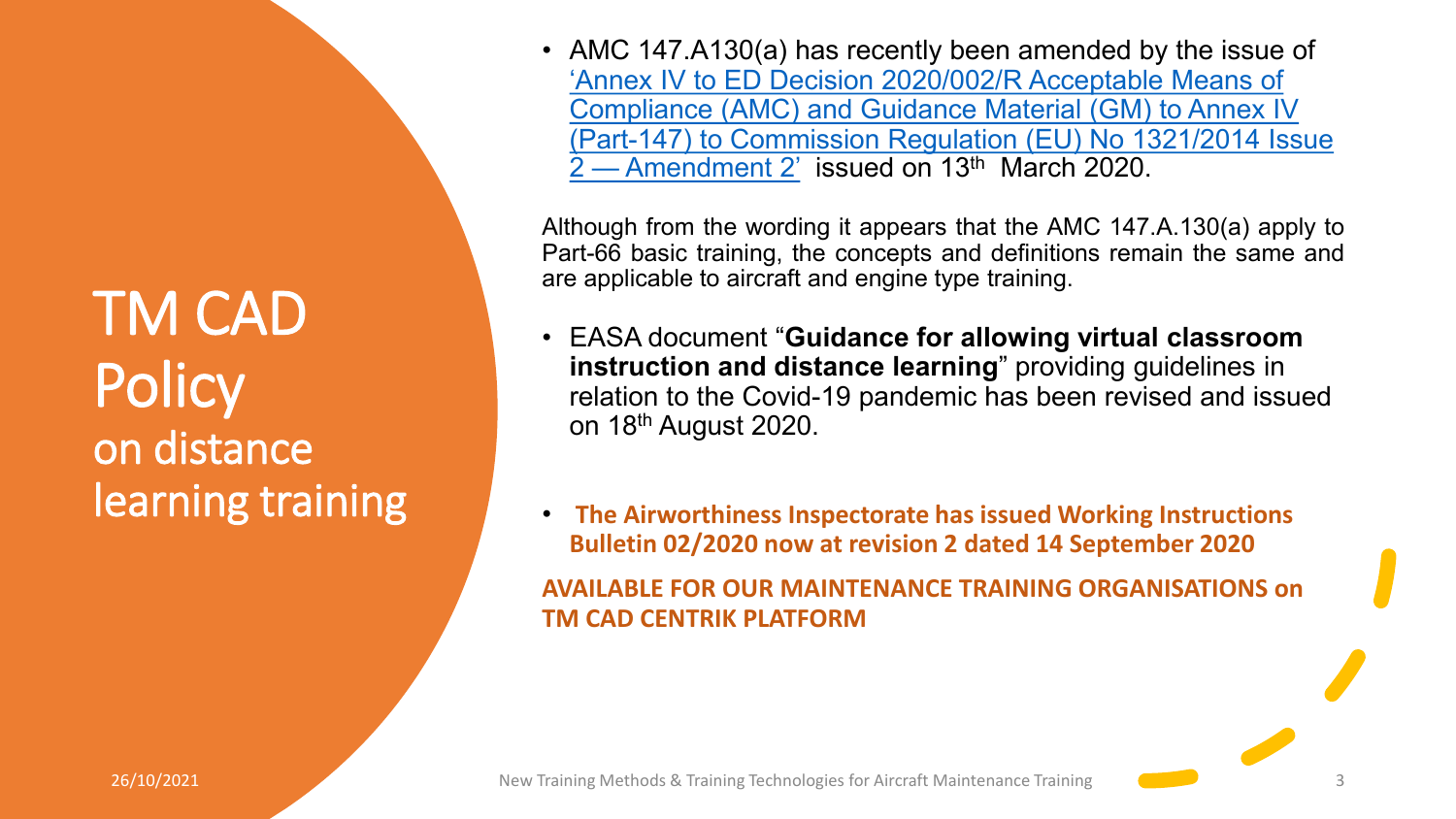TM CAD **Policy** on distance learning training • AMC 147.A130(a) has recently been amended by the issue of 'Annex IV to ED Decision 2020/002/R Acceptable Means of Compliance (AMC) and Guidance Material (GM) to Annex IV [\(Part-147\) to Commission Regulation \(EU\) No 1321/2014 Issue](https://www.easa.europa.eu/sites/default/files/dfu/Annex%20IV%20%E2%80%94%20AMC%20and%20GM%20to%20Part-147%20%E2%80%94%20Issue%202,%20Amendment%202.pdf)  $2-$  Amendment 2' issued on 13<sup>th</sup> March 2020.

Although from the wording it appears that the AMC 147.A.130(a) apply to Part-66 basic training, the concepts and definitions remain the same and are applicable to aircraft and engine type training.

- EASA document "**Guidance for allowing virtual classroom instruction and distance learning**" providing guidelines in relation to the Covid-19 pandemic has been revised and issued on 18th August 2020.
- **The Airworthiness Inspectorate has issued Working Instructions Bulletin 02/2020 now at revision 2 dated 14 September 2020**

**AVAILABLE FOR OUR MAINTENANCE TRAINING ORGANISATIONS on TM CAD CENTRIK PLATFORM**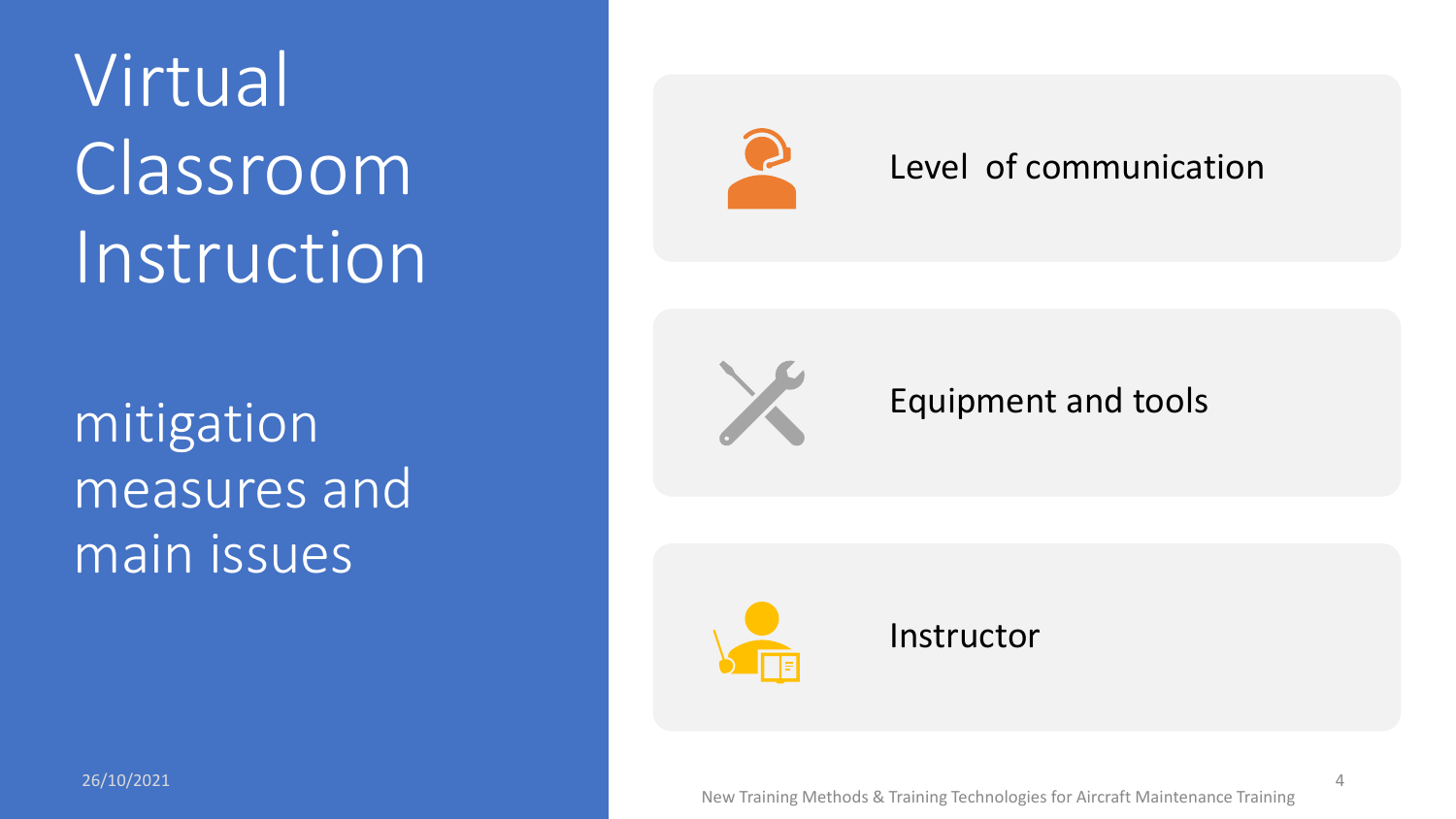Virtual Classroom Instruction

mitigation measures and main issues



### Level of communication



### Equipment and tools



 $\Delta$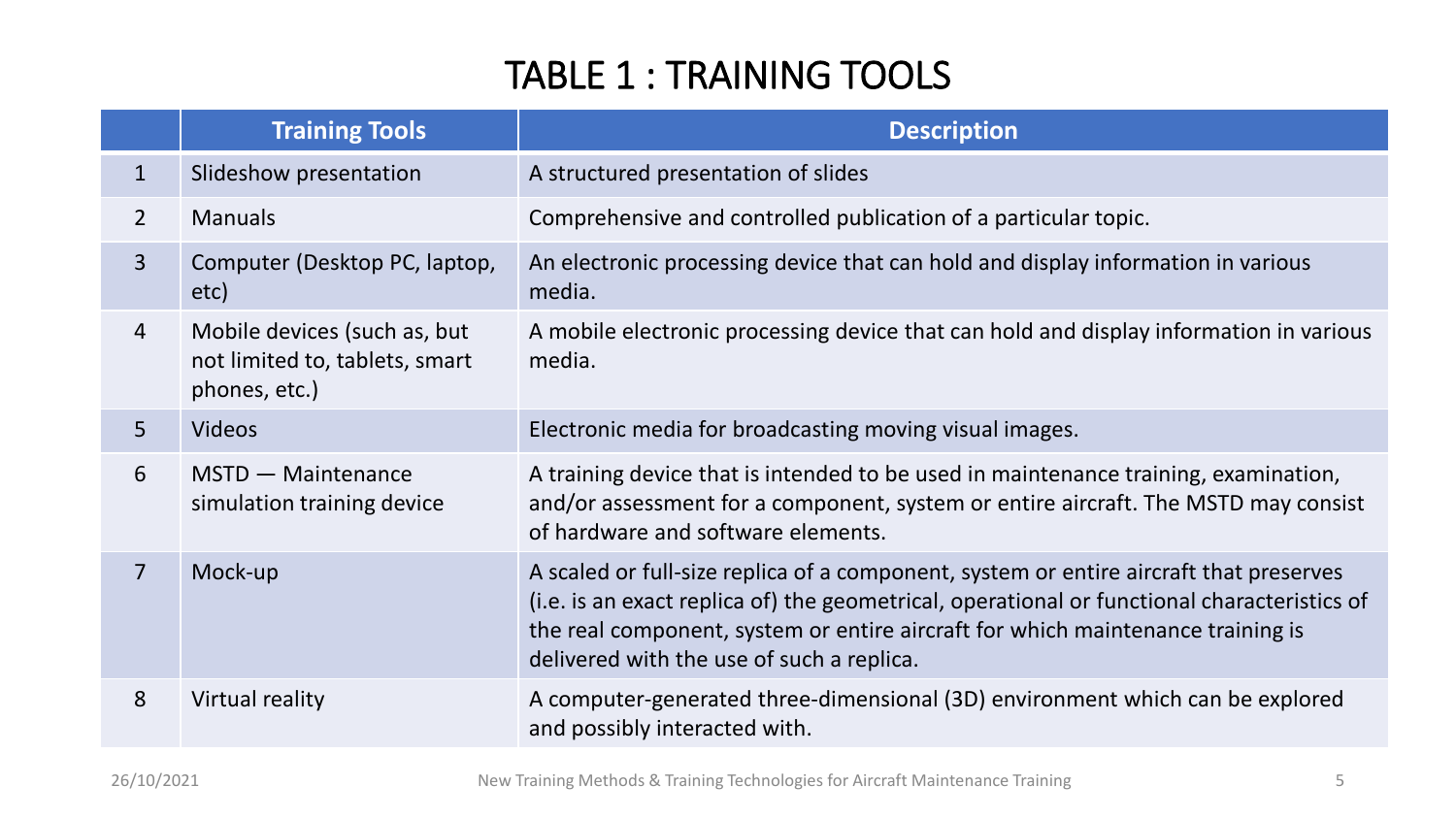### TABLE 1 : TRAINING TOOLS

|                | <b>Training Tools</b>                                                           | <b>Description</b>                                                                                                                                                                                                                                                                                                    |
|----------------|---------------------------------------------------------------------------------|-----------------------------------------------------------------------------------------------------------------------------------------------------------------------------------------------------------------------------------------------------------------------------------------------------------------------|
| $\mathbf{1}$   | Slideshow presentation                                                          | A structured presentation of slides                                                                                                                                                                                                                                                                                   |
| $\overline{2}$ | <b>Manuals</b>                                                                  | Comprehensive and controlled publication of a particular topic.                                                                                                                                                                                                                                                       |
| $\overline{3}$ | Computer (Desktop PC, laptop,<br>etc)                                           | An electronic processing device that can hold and display information in various<br>media.                                                                                                                                                                                                                            |
| 4              | Mobile devices (such as, but<br>not limited to, tablets, smart<br>phones, etc.) | A mobile electronic processing device that can hold and display information in various<br>media.                                                                                                                                                                                                                      |
| 5 <sup>1</sup> | <b>Videos</b>                                                                   | Electronic media for broadcasting moving visual images.                                                                                                                                                                                                                                                               |
| 6              | MSTD - Maintenance<br>simulation training device                                | A training device that is intended to be used in maintenance training, examination,<br>and/or assessment for a component, system or entire aircraft. The MSTD may consist<br>of hardware and software elements.                                                                                                       |
| $\overline{7}$ | Mock-up                                                                         | A scaled or full-size replica of a component, system or entire aircraft that preserves<br>(i.e. is an exact replica of) the geometrical, operational or functional characteristics of<br>the real component, system or entire aircraft for which maintenance training is<br>delivered with the use of such a replica. |
| 8              | Virtual reality                                                                 | A computer-generated three-dimensional (3D) environment which can be explored<br>and possibly interacted with.                                                                                                                                                                                                        |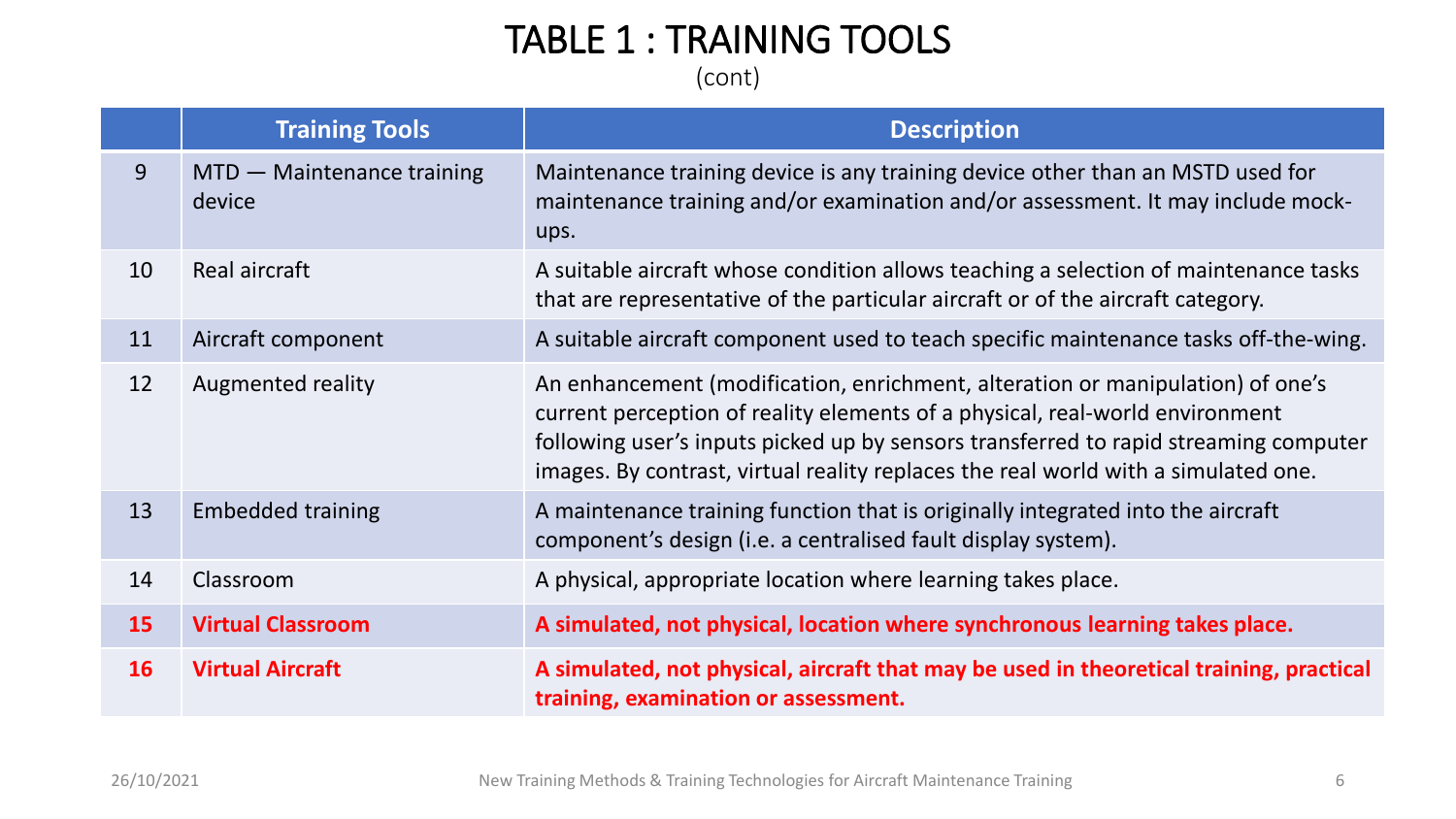### TABLE 1 : TRAINING TOOLS

(cont)

|    | <b>Training Tools</b>                | <b>Description</b>                                                                                                                                                                                                                                                                                                                           |
|----|--------------------------------------|----------------------------------------------------------------------------------------------------------------------------------------------------------------------------------------------------------------------------------------------------------------------------------------------------------------------------------------------|
| 9  | MTD - Maintenance training<br>device | Maintenance training device is any training device other than an MSTD used for<br>maintenance training and/or examination and/or assessment. It may include mock-<br>ups.                                                                                                                                                                    |
| 10 | Real aircraft                        | A suitable aircraft whose condition allows teaching a selection of maintenance tasks<br>that are representative of the particular aircraft or of the aircraft category.                                                                                                                                                                      |
| 11 | Aircraft component                   | A suitable aircraft component used to teach specific maintenance tasks off-the-wing.                                                                                                                                                                                                                                                         |
| 12 | Augmented reality                    | An enhancement (modification, enrichment, alteration or manipulation) of one's<br>current perception of reality elements of a physical, real-world environment<br>following user's inputs picked up by sensors transferred to rapid streaming computer<br>images. By contrast, virtual reality replaces the real world with a simulated one. |
| 13 | <b>Embedded training</b>             | A maintenance training function that is originally integrated into the aircraft<br>component's design (i.e. a centralised fault display system).                                                                                                                                                                                             |
| 14 | Classroom                            | A physical, appropriate location where learning takes place.                                                                                                                                                                                                                                                                                 |
| 15 | <b>Virtual Classroom</b>             | A simulated, not physical, location where synchronous learning takes place.                                                                                                                                                                                                                                                                  |
| 16 | <b>Virtual Aircraft</b>              | A simulated, not physical, aircraft that may be used in theoretical training, practical<br>training, examination or assessment.                                                                                                                                                                                                              |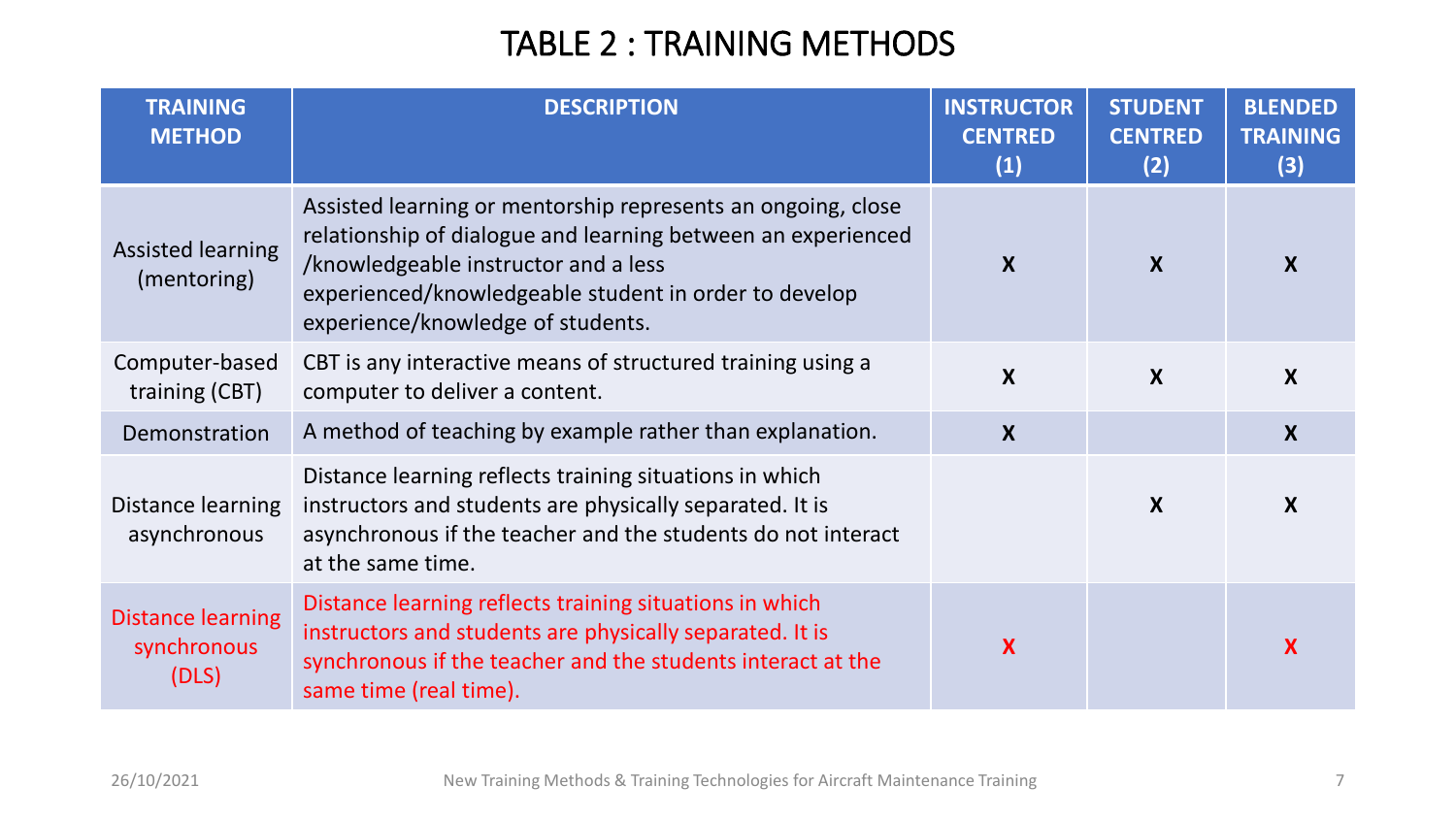### TABLE 2 : TRAINING METHODS

| <b>TRAINING</b><br><b>METHOD</b>                 | <b>DESCRIPTION</b>                                                                                                                                                                                                                                                 | <b>INSTRUCTOR</b><br><b>CENTRED</b><br>(1) | <b>STUDENT</b><br><b>CENTRED</b><br>(2) | <b>BLENDED</b><br><b>TRAINING</b><br>(3) |
|--------------------------------------------------|--------------------------------------------------------------------------------------------------------------------------------------------------------------------------------------------------------------------------------------------------------------------|--------------------------------------------|-----------------------------------------|------------------------------------------|
| <b>Assisted learning</b><br>(mentoring)          | Assisted learning or mentorship represents an ongoing, close<br>relationship of dialogue and learning between an experienced<br>/knowledgeable instructor and a less<br>experienced/knowledgeable student in order to develop<br>experience/knowledge of students. | $\boldsymbol{X}$                           | $\mathbf{x}$                            | X                                        |
| Computer-based<br>training (CBT)                 | CBT is any interactive means of structured training using a<br>computer to deliver a content.                                                                                                                                                                      | X                                          | $\boldsymbol{X}$                        | $\boldsymbol{X}$                         |
| Demonstration                                    | A method of teaching by example rather than explanation.                                                                                                                                                                                                           | $\boldsymbol{X}$                           |                                         | $\boldsymbol{X}$                         |
| Distance learning<br>asynchronous                | Distance learning reflects training situations in which<br>instructors and students are physically separated. It is<br>asynchronous if the teacher and the students do not interact<br>at the same time.                                                           |                                            | $\boldsymbol{X}$                        | $\boldsymbol{X}$                         |
| <b>Distance learning</b><br>synchronous<br>(DLS) | Distance learning reflects training situations in which<br>instructors and students are physically separated. It is<br>synchronous if the teacher and the students interact at the<br>same time (real time).                                                       | X                                          |                                         |                                          |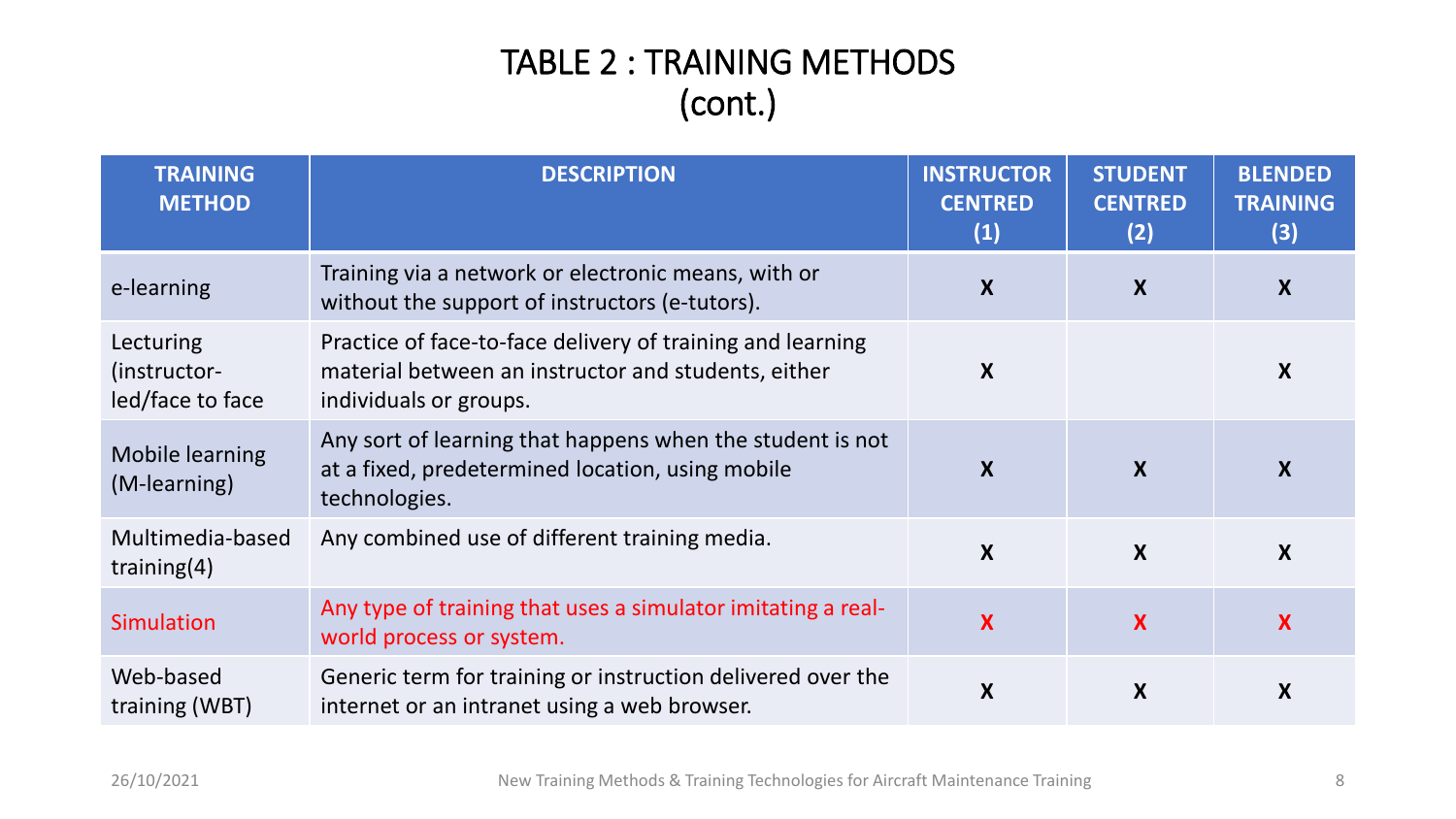### TABLE 2 : TRAINING METHODS (cont.)

| <b>TRAINING</b><br><b>METHOD</b>              | <b>DESCRIPTION</b>                                                                                                                          | <b>INSTRUCTOR</b><br><b>CENTRED</b><br>(1) | <b>STUDENT</b><br><b>CENTRED</b><br>(2) | <b>BLENDED</b><br><b>TRAINING</b><br>(3) |
|-----------------------------------------------|---------------------------------------------------------------------------------------------------------------------------------------------|--------------------------------------------|-----------------------------------------|------------------------------------------|
| e-learning                                    | Training via a network or electronic means, with or<br>without the support of instructors (e-tutors).                                       | $\boldsymbol{X}$                           | X                                       | X                                        |
| Lecturing<br>(instructor-<br>led/face to face | Practice of face-to-face delivery of training and learning<br>material between an instructor and students, either<br>individuals or groups. | X                                          |                                         | X                                        |
| <b>Mobile learning</b><br>(M-learning)        | Any sort of learning that happens when the student is not<br>at a fixed, predetermined location, using mobile<br>technologies.              | X                                          | X                                       | X                                        |
| Multimedia-based<br>training $(4)$            | Any combined use of different training media.                                                                                               | $\boldsymbol{X}$                           | $\boldsymbol{X}$                        | $\boldsymbol{X}$                         |
| Simulation                                    | Any type of training that uses a simulator imitating a real-<br>world process or system.                                                    | X                                          | X                                       | X                                        |
| Web-based<br>training (WBT)                   | Generic term for training or instruction delivered over the<br>internet or an intranet using a web browser.                                 | X                                          | X                                       | X                                        |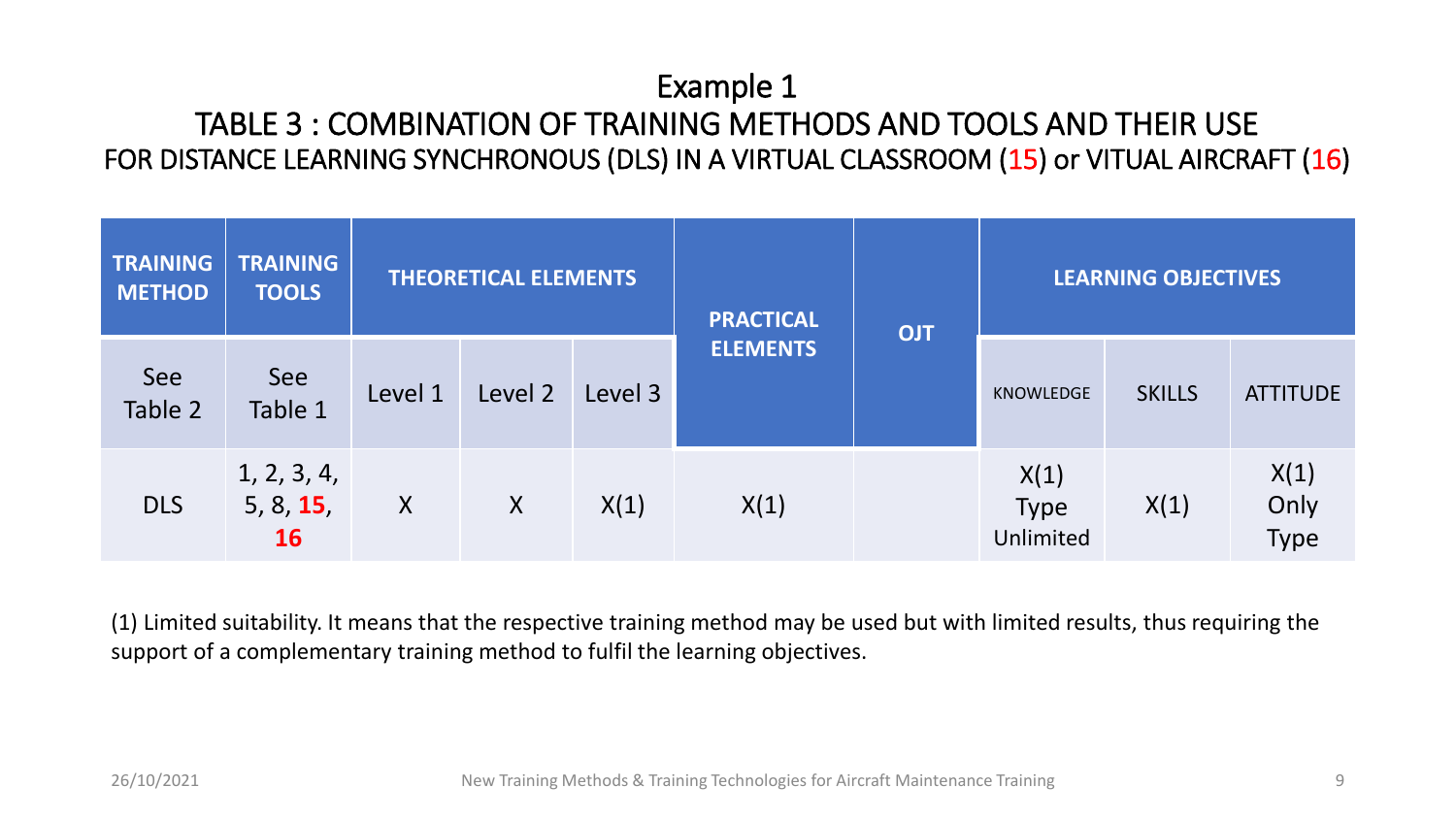#### Example 1 TABLE 3 : COMBINATION OF TRAINING METHODS AND TOOLS AND THEIR USE FOR DISTANCE LEARNING SYNCHRONOUS (DLS) IN A VIRTUAL CLASSROOM (15) or VITUAL AIRCRAFT (16)

| <b>TRAINING</b><br><b>METHOD</b> | <b>TRAINING</b><br><b>TOOLS</b>       | <b>THEORETICAL ELEMENTS</b> |         |         | <b>PRACTICAL</b> | <b>OJT</b> |                                  | <b>LEARNING OBJECTIVES</b> |                             |  |
|----------------------------------|---------------------------------------|-----------------------------|---------|---------|------------------|------------|----------------------------------|----------------------------|-----------------------------|--|
| See<br>Table 2                   | See<br>Table 1                        | Level 1                     | Level 2 | Level 3 | <b>ELEMENTS</b>  |            | <b>KNOWLEDGE</b>                 | <b>SKILLS</b>              | <b>ATTITUDE</b>             |  |
| <b>DLS</b>                       | 1, 2, 3, 4,<br>5, 8, 15,<br><b>16</b> | X                           | X       | X(1)    | X(1)             |            | X(1)<br><b>Type</b><br>Unlimited | X(1)                       | X(1)<br>Only<br><b>Type</b> |  |

(1) Limited suitability. It means that the respective training method may be used but with limited results, thus requiring the support of a complementary training method to fulfil the learning objectives.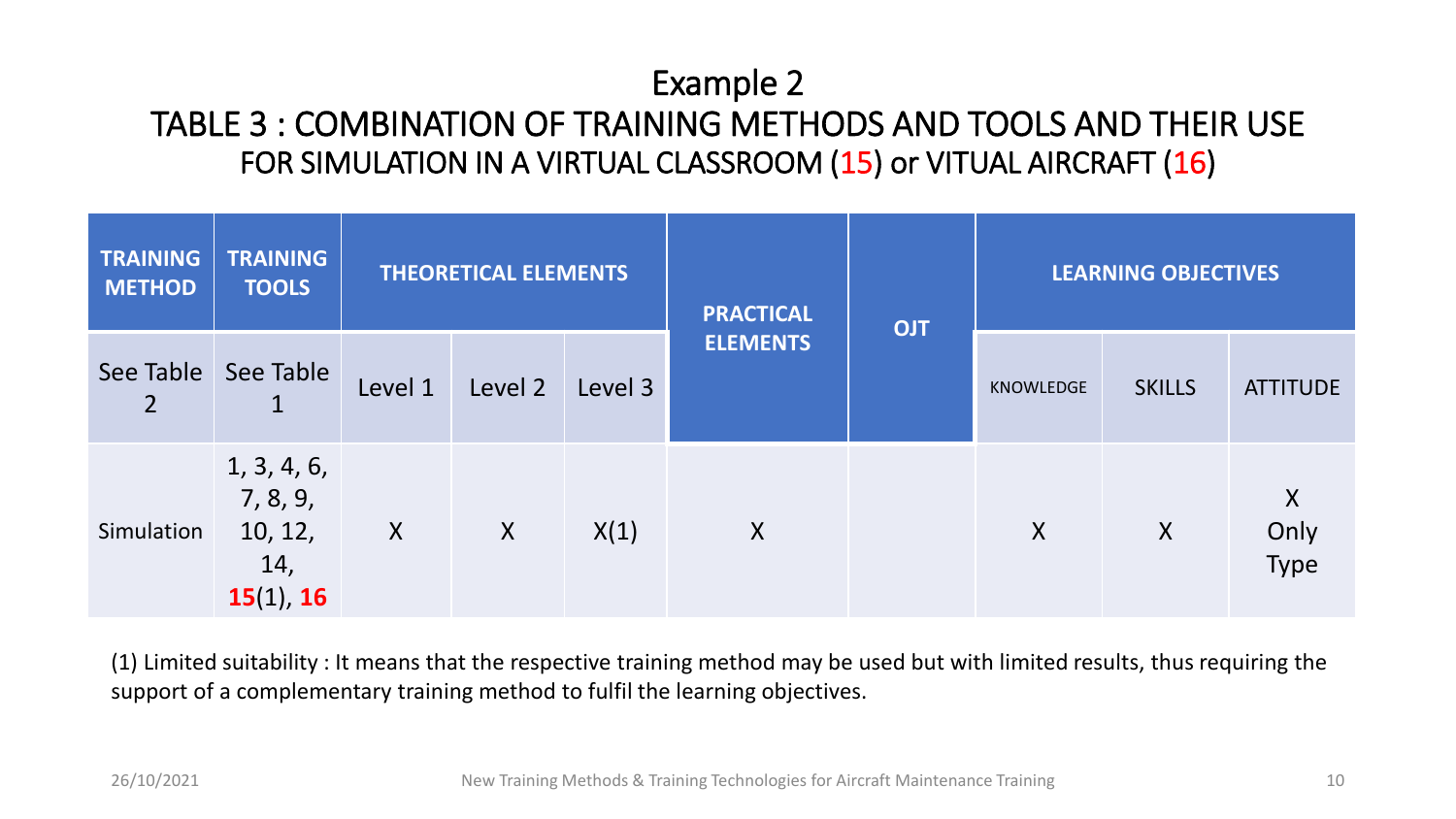### Example 2 TABLE 3 : COMBINATION OF TRAINING METHODS AND TOOLS AND THEIR USE FOR SIMULATION IN A VIRTUAL CLASSROOM (15) or VITUAL AIRCRAFT (16)

| <b>TRAINING</b><br><b>METHOD</b> | <b>TRAINING</b><br><b>TOOLS</b>                        | <b>THEORETICAL ELEMENTS</b> |                  |         | <b>PRACTICAL</b> | <b>OJT</b> |                  | <b>LEARNING OBJECTIVES</b> |                   |
|----------------------------------|--------------------------------------------------------|-----------------------------|------------------|---------|------------------|------------|------------------|----------------------------|-------------------|
| $\overline{2}$                   | See Table   See Table<br>┻                             | Level 1                     | Level 2          | Level 3 | <b>ELEMENTS</b>  |            | <b>KNOWLEDGE</b> | <b>SKILLS</b>              | <b>ATTITUDE</b>   |
| Simulation                       | 1, 3, 4, 6,<br>7, 8, 9,<br>10, 12,<br>14,<br>15(1), 16 | X                           | $\boldsymbol{X}$ | X(1)    | X                |            | X                | $\boldsymbol{X}$           | X<br>Only<br>Type |

(1) Limited suitability : It means that the respective training method may be used but with limited results, thus requiring the support of a complementary training method to fulfil the learning objectives.